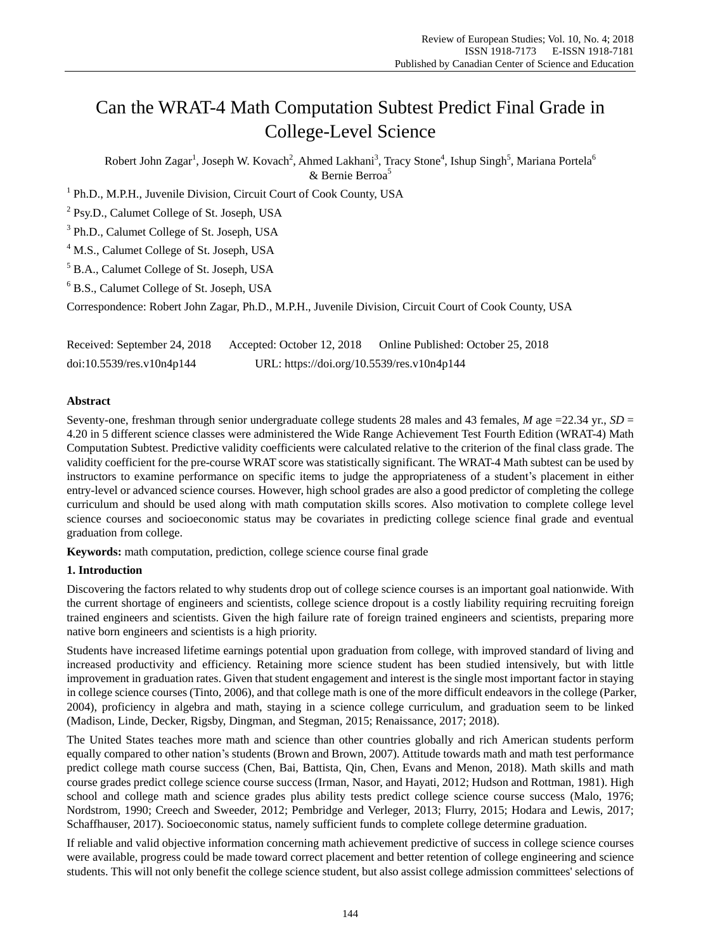# Can the WRAT-4 Math Computation Subtest Predict Final Grade in College-Level Science

Robert John Zagar<sup>1</sup>, Joseph W. Kovach<sup>2</sup>, Ahmed Lakhani<sup>3</sup>, Tracy Stone<sup>4</sup>, Ishup Singh<sup>5</sup>, Mariana Portela<sup>6</sup> & Bernie Berroa<sup>5</sup>

<sup>1</sup> Ph.D., M.P.H., Juvenile Division, Circuit Court of Cook County, USA

<sup>2</sup> Psy.D., Calumet College of St. Joseph, USA

<sup>3</sup> Ph.D., Calumet College of St. Joseph, USA

<sup>4</sup> M.S., Calumet College of St. Joseph, USA

<sup>5</sup> B.A., Calumet College of St. Joseph, USA

<sup>6</sup> B.S., Calumet College of St. Joseph, USA

Correspondence: Robert John Zagar, Ph.D., M.P.H., Juvenile Division, Circuit Court of Cook County, USA

Received: September 24, 2018 Accepted: October 12, 2018 Online Published: October 25, 2018 doi:10.5539/res.v10n4p144 URL: https://doi.org/10.5539/res.v10n4p144

## **Abstract**

Seventy-one, freshman through senior undergraduate college students 28 males and 43 females, *M* age =22.34 yr., *SD* = 4.20 in 5 different science classes were administered the Wide Range Achievement Test Fourth Edition (WRAT-4) Math Computation Subtest. Predictive validity coefficients were calculated relative to the criterion of the final class grade. The validity coefficient for the pre-course WRAT score was statistically significant. The WRAT-4 Math subtest can be used by instructors to examine performance on specific items to judge the appropriateness of a student's placement in either entry-level or advanced science courses. However, high school grades are also a good predictor of completing the college curriculum and should be used along with math computation skills scores. Also motivation to complete college level science courses and socioeconomic status may be covariates in predicting college science final grade and eventual graduation from college.

**Keywords:** math computation, prediction, college science course final grade

# **1. Introduction**

Discovering the factors related to why students drop out of college science courses is an important goal nationwide. With the current shortage of engineers and scientists, college science dropout is a costly liability requiring recruiting foreign trained engineers and scientists. Given the high failure rate of foreign trained engineers and scientists, preparing more native born engineers and scientists is a high priority.

Students have increased lifetime earnings potential upon graduation from college, with improved standard of living and increased productivity and efficiency. Retaining more science student has been studied intensively, but with little improvement in graduation rates. Given that student engagement and interest is the single most important factor in staying in college science courses (Tinto, 2006), and that college math is one of the more difficult endeavors in the college (Parker, 2004), proficiency in algebra and math, staying in a science college curriculum, and graduation seem to be linked (Madison, Linde, Decker, Rigsby, Dingman, and Stegman, 2015; Renaissance, 2017; 2018).

The United States teaches more math and science than other countries globally and rich American students perform equally compared to other nation's students (Brown and Brown, 2007). Attitude towards math and math test performance predict college math course success (Chen, Bai, Battista, Qin, Chen, Evans and Menon, 2018). Math skills and math course grades predict college science course success (Irman, Nasor, and Hayati, 2012; Hudson and Rottman, 1981). High school and college math and science grades plus ability tests predict college science course success (Malo, 1976; Nordstrom, 1990; Creech and Sweeder, 2012; Pembridge and Verleger, 2013; Flurry, 2015; Hodara and Lewis, 2017; Schaffhauser, 2017). Socioeconomic status, namely sufficient funds to complete college determine graduation.

If reliable and valid objective information concerning math achievement predictive of success in college science courses were available, progress could be made toward correct placement and better retention of college engineering and science students. This will not only benefit the college science student, but also assist college admission committees' selections of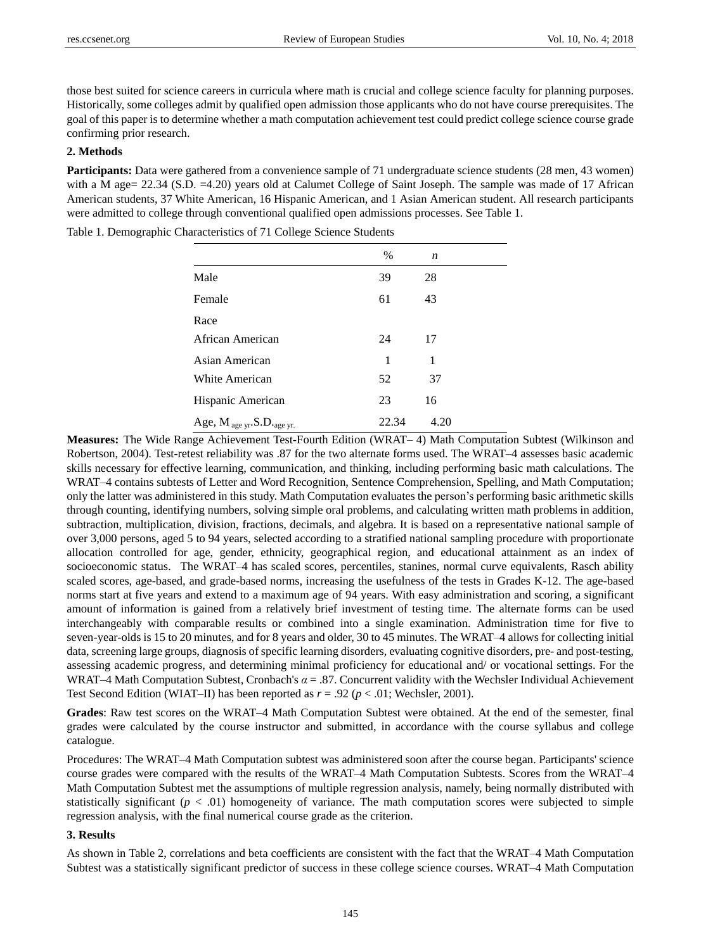those best suited for science careers in curricula where math is crucial and college science faculty for planning purposes. Historically, some colleges admit by qualified open admission those applicants who do not have course prerequisites. The goal of this paper is to determine whether a math computation achievement test could predict college science course grade confirming prior research.

## **2. Methods**

**Participants:** Data were gathered from a convenience sample of 71 undergraduate science students (28 men, 43 women) with a M age= 22.34 (S.D. =4.20) years old at Calumet College of Saint Joseph. The sample was made of 17 African American students, 37 White American, 16 Hispanic American, and 1 Asian American student. All research participants were admitted to college through conventional qualified open admissions processes. See Table 1.

|                                  | $\%$  | n    |  |
|----------------------------------|-------|------|--|
| Male                             | 39    | 28   |  |
| Female                           | 61    | 43   |  |
| Race                             |       |      |  |
| African American                 | 24    | 17   |  |
| Asian American                   | 1     | 1    |  |
| White American                   | 52    | 37   |  |
| Hispanic American                | 23    | 16   |  |
| Age, $M_{age yr}$ . S.D. age yr. | 22.34 | 4.20 |  |

Table 1. Demographic Characteristics of 71 College Science Students

**Measures:** The Wide Range Achievement Test-Fourth Edition (WRAT– 4) Math Computation Subtest (Wilkinson and Robertson, 2004). Test-retest reliability was .87 for the two alternate forms used. The WRAT–4 assesses basic academic skills necessary for effective learning, communication, and thinking, including performing basic math calculations. The WRAT–4 contains subtests of Letter and Word Recognition, Sentence Comprehension, Spelling, and Math Computation; only the latter was administered in this study. Math Computation evaluates the person's performing basic arithmetic skills through counting, identifying numbers, solving simple oral problems, and calculating written math problems in addition, subtraction, multiplication, division, fractions, decimals, and algebra. It is based on a representative national sample of over 3,000 persons, aged 5 to 94 years, selected according to a stratified national sampling procedure with proportionate allocation controlled for age, gender, ethnicity, geographical region, and educational attainment as an index of socioeconomic status. The WRAT–4 has scaled scores, percentiles, stanines, normal curve equivalents, Rasch ability scaled scores, age-based, and grade-based norms, increasing the usefulness of the tests in Grades K-12. The age-based norms start at five years and extend to a maximum age of 94 years. With easy administration and scoring, a significant amount of information is gained from a relatively brief investment of testing time. The alternate forms can be used interchangeably with comparable results or combined into a single examination. Administration time for five to seven-year-olds is 15 to 20 minutes, and for 8 years and older, 30 to 45 minutes. The WRAT–4 allows for collecting initial data, screening large groups, diagnosis of specific learning disorders, evaluating cognitive disorders, pre- and post-testing, assessing academic progress, and determining minimal proficiency for educational and/ or vocational settings. For the WRAT–4 Math Computation Subtest, Cronbach's *α* = .87. Concurrent validity with the Wechsler Individual Achievement Test Second Edition (WIAT–II) has been reported as *r* = .92 (*p* < .01; Wechsler, 2001).

**Grades**: Raw test scores on the WRAT–4 Math Computation Subtest were obtained. At the end of the semester, final grades were calculated by the course instructor and submitted, in accordance with the course syllabus and college catalogue.

Procedures: The WRAT–4 Math Computation subtest was administered soon after the course began. Participants' science course grades were compared with the results of the WRAT–4 Math Computation Subtests. Scores from the WRAT–4 Math Computation Subtest met the assumptions of multiple regression analysis, namely, being normally distributed with statistically significant  $(p < .01)$  homogeneity of variance. The math computation scores were subjected to simple regression analysis, with the final numerical course grade as the criterion.

#### **3. Results**

As shown in Table 2, correlations and beta coefficients are consistent with the fact that the WRAT–4 Math Computation Subtest was a statistically significant predictor of success in these college science courses. WRAT–4 Math Computation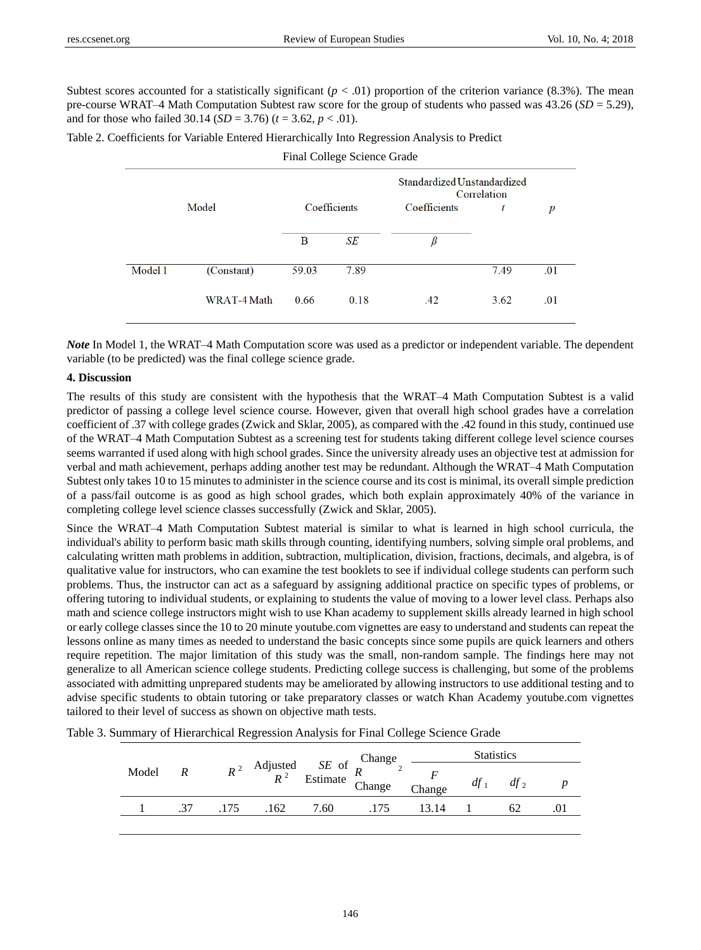Subtest scores accounted for a statistically significant  $(p < .01)$  proportion of the criterion variance (8.3%). The mean pre-course WRAT–4 Math Computation Subtest raw score for the group of students who passed was  $43.26$  (*SD* = 5.29), and for those who failed  $30.14$  (*SD* = 3.76) ( $t = 3.62$ ,  $p < .01$ ).

Table 2. Coefficients for Variable Entered Hierarchically Into Regression Analysis to Predict

Final College Science Grade

|         |             | Standardized Unstandardized<br>Correlation |      |              |      |                  |  |
|---------|-------------|--------------------------------------------|------|--------------|------|------------------|--|
| Model   |             | Coefficients                               |      | Coefficients | t    | $\boldsymbol{p}$ |  |
|         |             | B                                          | SE   | ß            |      |                  |  |
| Model 1 | (Constant)  | 59.03                                      | 7.89 |              | 7.49 | .01              |  |
|         | WRAT-4 Math | 0.66                                       | 0.18 | .42          | 3.62 | .01              |  |

*Note* In Model 1, the WRAT–4 Math Computation score was used as a predictor or independent variable. The dependent variable (to be predicted) was the final college science grade.

## **4. Discussion**

The results of this study are consistent with the hypothesis that the WRAT–4 Math Computation Subtest is a valid predictor of passing a college level science course. However, given that overall high school grades have a correlation coefficient of .37 with college grades (Zwick and Sklar, 2005), as compared with the .42 found in this study, continued use of the WRAT–4 Math Computation Subtest as a screening test for students taking different college level science courses seems warranted if used along with high school grades. Since the university already uses an objective test at admission for verbal and math achievement, perhaps adding another test may be redundant. Although the WRAT–4 Math Computation Subtest only takes 10 to 15 minutes to administer in the science course and its cost is minimal, its overall simple prediction of a pass/fail outcome is as good as high school grades, which both explain approximately 40% of the variance in completing college level science classes successfully (Zwick and Sklar, 2005).

Since the WRAT–4 Math Computation Subtest material is similar to what is learned in high school curricula, the individual's ability to perform basic math skills through counting, identifying numbers, solving simple oral problems, and calculating written math problems in addition, subtraction, multiplication, division, fractions, decimals, and algebra, is of qualitative value for instructors, who can examine the test booklets to see if individual college students can perform such problems. Thus, the instructor can act as a safeguard by assigning additional practice on specific types of problems, or offering tutoring to individual students, or explaining to students the value of moving to a lower level class. Perhaps also math and science college instructors might wish to use Khan academy to supplement skills already learned in high school or early college classes since the 10 to 20 minute youtube.com vignettes are easy to understand and students can repeat the lessons online as many times as needed to understand the basic concepts since some pupils are quick learners and others require repetition. The major limitation of this study was the small, non-random sample. The findings here may not generalize to all American science college students. Predicting college success is challenging, but some of the problems associated with admitting unprepared students may be ameliorated by allowing instructors to use additional testing and to advise specific students to obtain tutoring or take preparatory classes or watch Khan Academy youtube.com vignettes tailored to their level of success as shown on objective math tests.

| Model | $R^2$ | Adjusted <i>SE</i> of <i>R</i><br><i>R</i> <sup>2</sup> Estimate <i>R</i><br>Change |        | <b>Statistics</b> |       |  |    |  |
|-------|-------|-------------------------------------------------------------------------------------|--------|-------------------|-------|--|----|--|
|       |       |                                                                                     | Change | $df_1$            |       |  |    |  |
|       | .37   |                                                                                     | 162    | 7.60              | 13 14 |  | 62 |  |

Table 3. Summary of Hierarchical Regression Analysis for Final College Science Grade